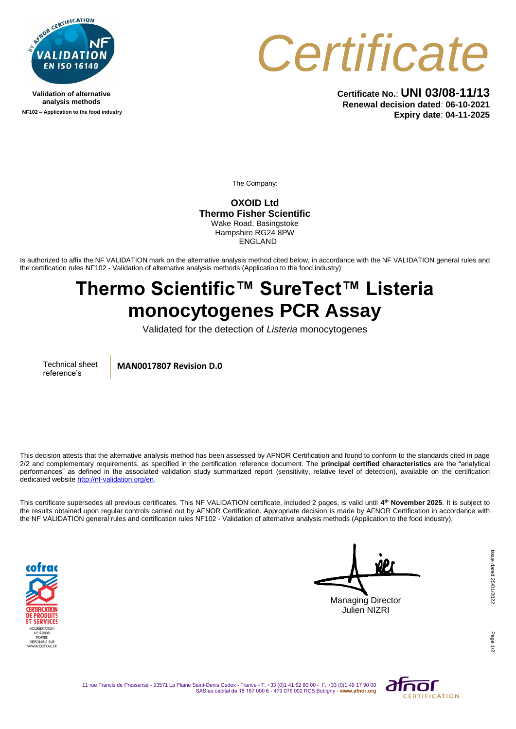

**Validation of alternative analysis methods NF102 – Application to the food industry**



**Certificate No.**: **UNI 03/08-11/13 Renewal decision dated**: **06-10-2021 Expiry date**: **04-11-2025**

The Company:

**OXOID Ltd Thermo Fisher Scientific** Wake Road, Basingstoke Hampshire RG24 8PW ENGLAND

Is authorized to affix the NF VALIDATION mark on the alternative analysis method cited below, in accordance with the NF VALIDATION general rules and the certification rules NF102 - Validation of alternative analysis methods (Application to the food industry):

## **Thermo Scientific™ SureTect™ Listeria monocytogenes PCR Assay**

Validated for the detection of *Listeria* monocytogenes

Technical sheet reference's

**MAN0017807 Revision D.0**

This decision attests that the alternative analysis method has been assessed by AFNOR Certification and found to conform to the standards cited in page 2/2 and complementary requirements, as specified in the certification reference document. The **principal certified characteristics** are the "analytical performances" as defined in the associated validation study summarized report (sensitivity, relative level of detection), available on the certification dedicated websit[e http://nf-validation.org/en.](http://nf-validation.org/en)

This certificate supersedes all previous certificates. This NF VALIDATION certificate, included 2 pages, is valid until **4 th November 2025**. It is subject to the results obtained upon regular controls carried out by AFNOR Certification. Appropriate decision is made by AFNOR Certification in accordance with the NF VALIDATION general rules and certification rules NF102 - Validation of alternative analysis methods (Application to the food industry).



Managing Director Julien NIZRI